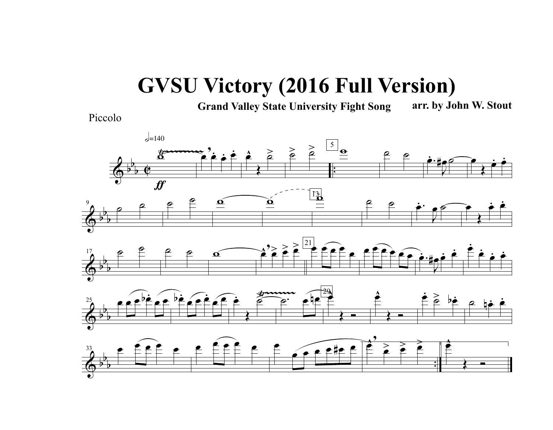## **GVSU Victory (2016 Full Version)**

**Grand Valley State University Fight Song arr. by John W. Stout**

Piccolo

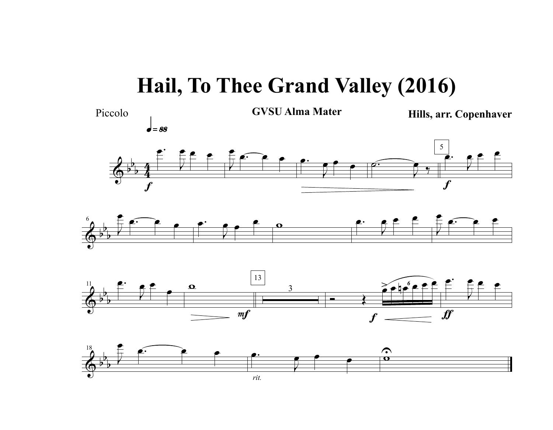## **Hail, To Thee Grand Valley (2016)**

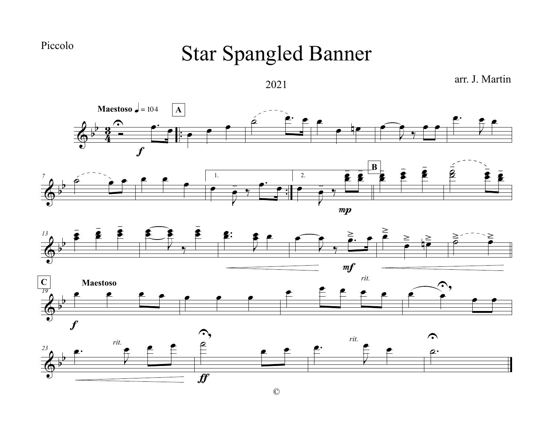Piccolo

## Star Spangled Banner

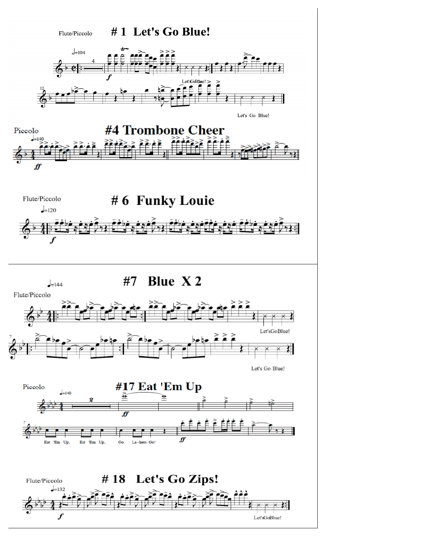